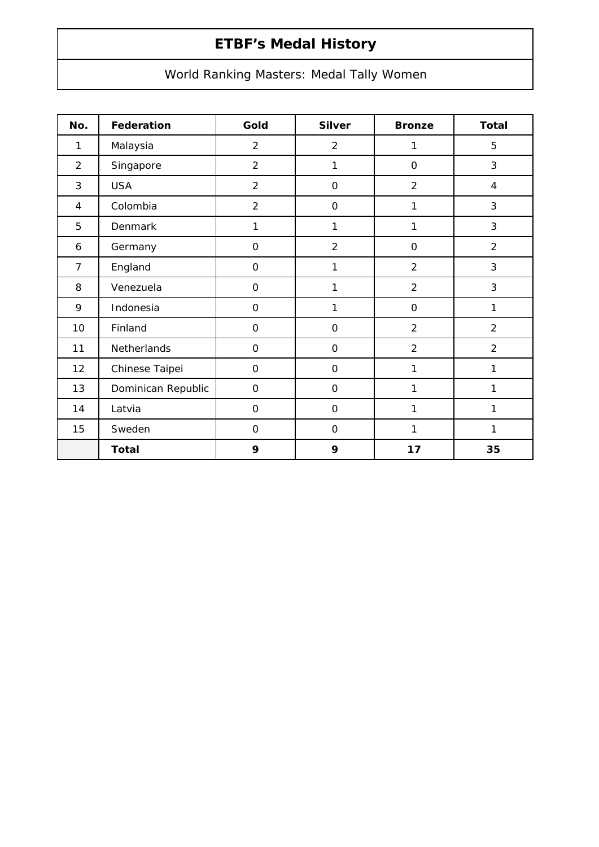# **ETBF's Medal History**

## World Ranking Masters: Medal Tally Women

| No.            | Federation         | Gold                | <b>Silver</b>  | <b>Bronze</b>       | <b>Total</b>   |
|----------------|--------------------|---------------------|----------------|---------------------|----------------|
| 1              | Malaysia           | $\overline{2}$      | $\overline{2}$ | 1                   | 5              |
| $\overline{2}$ | Singapore          | $\overline{2}$      | 1              | $\mathsf O$         | 3              |
| 3              | <b>USA</b>         | $\overline{2}$      | $\overline{O}$ | $\overline{2}$      | $\overline{4}$ |
| 4              | Colombia           | $\overline{2}$      | $\overline{O}$ | $\mathbf{1}$        | 3              |
| 5              | Denmark            | $\mathbf{1}$        | 1              | 1                   | 3              |
| 6              | Germany            | $\mathbf 0$         | $\overline{2}$ | $\mathsf{O}\xspace$ | $\overline{2}$ |
| $\overline{7}$ | England            | $\mathbf 0$         | 1              | $\overline{2}$      | 3              |
| 8              | Venezuela          | 0                   | 1              | $\overline{2}$      | 3              |
| 9              | Indonesia          | $\overline{0}$      | $\mathbf{1}$   | $\mathsf O$         | $\mathbf{1}$   |
| 10             | Finland            | $\mathbf 0$         | $\mathbf 0$    | $\overline{2}$      | $\overline{2}$ |
| 11             | Netherlands        | $\mathbf 0$         | $\mathbf 0$    | $\overline{2}$      | $\overline{2}$ |
| 12             | Chinese Taipei     | $\mathbf 0$         | $\overline{O}$ | 1                   | 1              |
| 13             | Dominican Republic | $\mathsf{O}\xspace$ | $\overline{O}$ | 1                   | 1              |
| 14             | Latvia             | $\mathsf{O}\xspace$ | $\mathsf O$    | 1                   | 1              |
| 15             | Sweden             | $\overline{O}$      | $\mathbf 0$    | 1                   | 1              |
|                | <b>Total</b>       | 9                   | 9              | 17                  | 35             |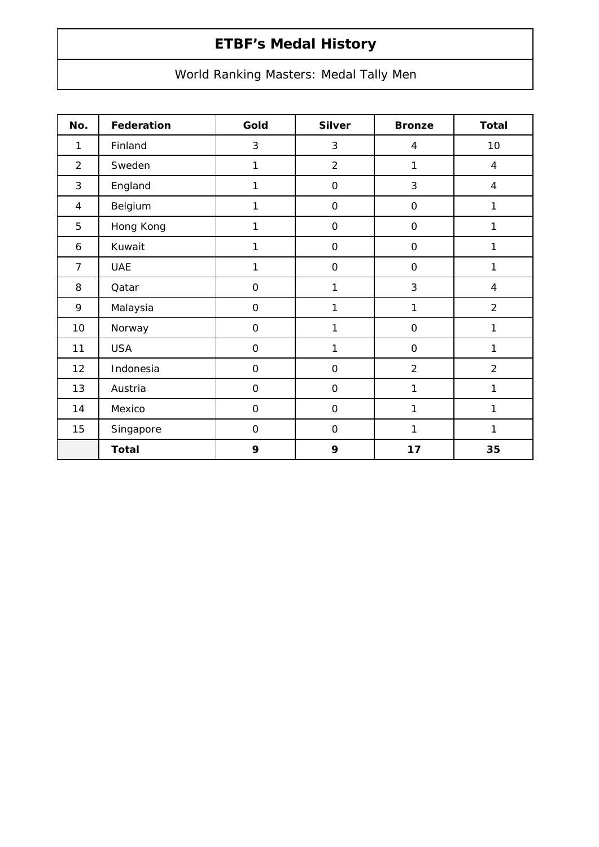# **ETBF's Medal History**

## World Ranking Masters: Medal Tally Men

| No.            | Federation   | Gold                | <b>Silver</b>       | <b>Bronze</b>       | <b>Total</b>   |
|----------------|--------------|---------------------|---------------------|---------------------|----------------|
| $\mathbf{1}$   | Finland      | 3                   | 3                   | $\overline{4}$      | 10             |
| $\overline{2}$ | Sweden       | $\mathbf{1}$        | $\overline{2}$      | 1                   | $\overline{4}$ |
| 3              | England      | $\mathbf{1}$        | $\mathsf{O}\xspace$ | 3                   | $\overline{4}$ |
| 4              | Belgium      | $\mathbf{1}$        | $\mathsf O$         | $\mathsf{O}\xspace$ | 1              |
| 5              | Hong Kong    | $\mathbf{1}$        | $\mathsf O$         | $\mathsf{O}\xspace$ | 1              |
| 6              | Kuwait       | $\mathbf{1}$        | $\mathbf 0$         | $\mathbf 0$         | 1              |
| $\overline{7}$ | <b>UAE</b>   | 1                   | $\mathsf O$         | $\mathsf{O}\xspace$ | 1              |
| 8              | Qatar        | $\mathsf{O}\xspace$ | 1                   | $\sqrt{3}$          | $\overline{4}$ |
| 9              | Malaysia     | $\mathsf{O}\xspace$ | 1                   | 1                   | $\overline{2}$ |
| 10             | Norway       | $\mathsf{O}\xspace$ | $\mathbf{1}$        | $\mbox{O}$          | 1              |
| 11             | <b>USA</b>   | $\overline{O}$      | 1                   | $\mathsf{O}\xspace$ | 1              |
| 12             | Indonesia    | $\mathbf 0$         | $\mathsf O$         | $\overline{2}$      | $\overline{2}$ |
| 13             | Austria      | $\mathbf 0$         | $\mathsf{O}\xspace$ | 1                   | 1              |
| 14             | Mexico       | $\mathsf{O}\xspace$ | $\mathsf O$         | 1                   | 1              |
| 15             | Singapore    | $\mathbf 0$         | $\mathbf 0$         | 1                   | 1              |
|                | <b>Total</b> | 9                   | 9                   | 17                  | 35             |